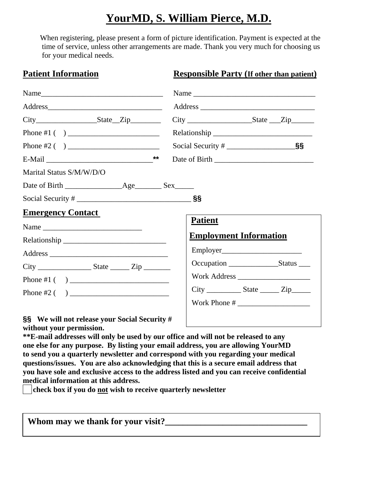## **YourMD, S. William Pierce, M.D.**

When registering, please present a form of picture identification. Payment is expected at the time of service, unless other arrangements are made. Thank you very much for choosing us for your medical needs.

**Patient Information Responsible Party (If other than patient)**

|                                                      | Name                                  |  |  |  |
|------------------------------------------------------|---------------------------------------|--|--|--|
|                                                      |                                       |  |  |  |
| $City$ $State$ $Zip$                                 | $City$ $\_\_\_\_\_$ $State$ $\_\_Zip$ |  |  |  |
|                                                      |                                       |  |  |  |
|                                                      |                                       |  |  |  |
|                                                      |                                       |  |  |  |
| Marital Status S/M/W/D/O                             |                                       |  |  |  |
|                                                      |                                       |  |  |  |
|                                                      |                                       |  |  |  |
| <b>Emergency Contact</b>                             |                                       |  |  |  |
|                                                      | <b>Patient</b>                        |  |  |  |
|                                                      | <b>Employment Information</b>         |  |  |  |
|                                                      |                                       |  |  |  |
|                                                      |                                       |  |  |  |
|                                                      |                                       |  |  |  |
|                                                      |                                       |  |  |  |
|                                                      |                                       |  |  |  |
| <b>§§</b> We will not release your Social Security # |                                       |  |  |  |

**without your permission.** 

**\*\*E-mail addresses will only be used by our office and will not be released to any one else for any purpose. By listing your email address, you are allowing YourMD to send you a quarterly newsletter and correspond with you regarding your medical questions/issues. You are also acknowledging that this is a secure email address that you have sole and exclusive access to the address listed and you can receive confidential medical information at this address.** 

**check box if you do not wish to receive quarterly newsletter** 

| Whom may we thank for your visit? |  |
|-----------------------------------|--|
|                                   |  |